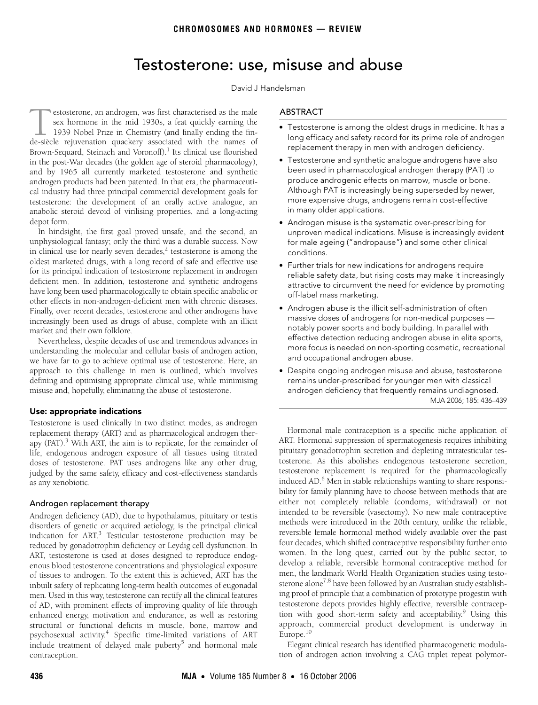# Testosterone: use, misuse and abuse

#### David J Handelsman

<span id="page-0-0"></span>testosterone: the development of an orally active analogue, an anabolic steroid devoid of virilisi[ng p](#page-0-0)[rop](#page-3-10)erties, and a long-acting ©The Medical Journal of Australia 2006 estosterone, an androgen, was first characterised as the male sex hormone in the mid 1930s, a feat quickly earning the 1939 Nobel Prize in Chemistry (and finally ending the finestosterone, an androgen, was first characterised as the male<br>sex hormone in the mid 1930s, a feat quickly earning the<br>1939 Nobel Prize in Chemistry (and finally ending the fin-<br>de-siècle rejuvenation quackery associated w Brown-Sequard, Steinach and Voronoff).<sup>[1](#page-3-0)</sup> Its clinical use flourished in the post-War decades (the golden age of steroid pharmacology), and by 1965 all currently marketed testosterone and synthetic androgen products had been patented. In that era, the pharmaceutical industry had three principal commercial development goals for depot form.

In hindsight, the first goal proved unsafe, and the second, an unphysiological fantasy; only the third was a durable success. Now in clinical use for nearly seven decades, $2$  testosterone is among the oldest marketed drugs, with a long record of safe and effective use for its principal indication of testosterone replacement in androgen deficient men. In addition, testosterone and synthetic androgens have long been used pharmacologically to obtain specific anabolic or other effects in non-androgen-deficient men with chronic diseases. Finally, over recent decades, testosterone and other androgens have increasingly been used as drugs of abuse, complete with an illicit market and their own folklore.

Nevertheless, despite decades of use and tremendous advances in understanding the molecular and cellular basis of androgen action, we have far to go to achieve optimal use of testosterone. Here, an approach to this challenge in men is outlined, which involves defining and optimising appropriate clinical use, while minimising misuse and, hopefully, eliminating the abuse of testosterone.

### Use: appropriate indications

Testosterone is used clinically in two distinct modes, as androgen replacement therapy (ART) and as pharmacological androgen therapy (PAT).<sup>3</sup> With ART, the aim is to replicate, for the remainder of life, endogenous androgen exposure of all tissues using titrated doses of testosterone. PAT uses androgens like any other drug, judged by the same safety, efficacy and cost-effectiveness standards as any xenobiotic.

# Androgen replacement therapy

Androgen deficiency (AD), due to hypothalamus, pituitary or testis disorders of genetic or acquired aetiology, is the principal clinical indication for ART.<sup>3</sup> Testicular testosterone production may be reduced by gonadotrophin deficiency or Leydig cell dysfunction. In ART, testosterone is used at doses designed to reproduce endogenous blood testosterone concentrations and physiological exposure of tissues to androgen. To the extent this is achieved, ART has the inbuilt safety of replicating long-term health outcomes of eugonadal men. Used in this way, testosterone can rectify all the clinical features of AD, with prominent effects of improving quality of life through enhanced energy, motivation and endurance, as well as restoring structural or functional deficits in muscle, bone, marrow and psychosexual activity.[4](#page-3-3) Specific time-limited variations of ART include treatment of delayed male puberty<sup>5</sup> and hormonal male contraception.

#### ABSTRACT

- Testosterone is among the oldest drugs in medicine. It has a long efficacy and safety record for its prime role of androgen replacement therapy in men with androgen deficiency.
- Testosterone and synthetic analogue androgens have also been used in pharmacological androgen therapy (PAT) to produce androgenic effects on marrow, muscle or bone. Although PAT is increasingly being superseded by newer, more expensive drugs, androgens remain cost-effective in many older applications.
- Androgen misuse is the systematic over-prescribing for unproven medical indications. Misuse is increasingly evident for male ageing ("andropause") and some other clinical conditions.
- Further trials for new indications for androgens require reliable safety data, but rising costs may make it increasingly attractive to circumvent the need for evidence by promoting off-label mass marketing.
- Androgen abuse is the illicit self-administration of often massive doses of androgens for non-medical purposes notably power sports and body building. In parallel with effective detection reducing androgen abuse in elite sports, more focus is needed on non-sporting cosmetic, recreational and occupational androgen abuse.
- Despite ongoing androgen misuse and abuse, testosterone remains under-prescribed for younger men with classical MJA 2006; 185: 436–439 androgen deficiency that frequently remains undiagnosed.

Hormonal male contraception is a specific niche application of ART. Hormonal suppression of spermatogenesis requires inhibiting pituitary gonadotrophin secretion and depleting intratesticular testosterone. As this abolishes endogenous testosterone secretion, testosterone replacement is required for the pharmacologically induced AD.<sup>[6](#page-3-5)</sup> Men in stable relationships wanting to share responsibility for family planning have to choose between methods that are either not completely reliable (condoms, withdrawal) or not intended to be reversible (vasectomy). No new male contraceptive methods were introduced in the 20th century, unlike the reliable, reversible female hormonal method widely available over the past four decades, which shifted contraceptive responsibility further onto women. In the long quest, carried out by the public sector, to develop a reliable, reversible hormonal contraceptive method for men, the landmark World Health Organization studies using testo-sterone alone<sup>[7](#page-3-6),[8](#page-3-7)</sup> have been followed by an Australian study establishing proof of principle that a combination of prototype progestin with testosterone depots provides highly effective, reversible contraception with good short-term safety and acceptability.<sup>9</sup> Using this approach, commercial product development is underway in Europe[.10](#page-3-9)

Elegant clinical research has identified pharmacogenetic modulation of androgen action involving a CAG triplet repeat polymor-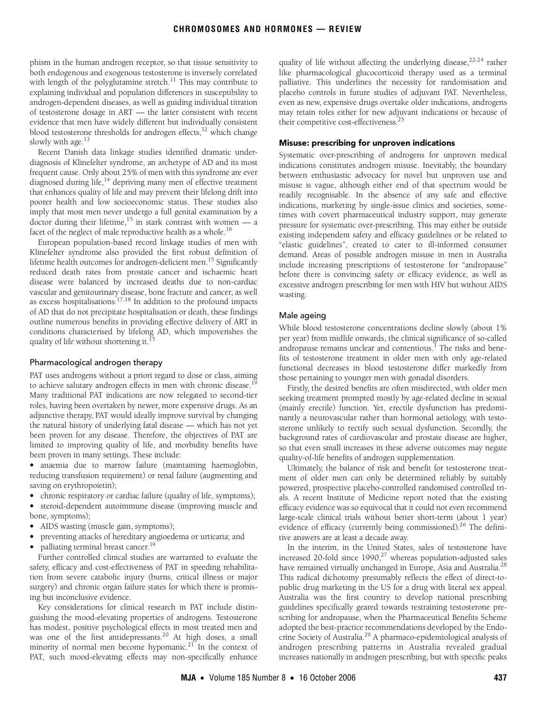phism in the human androgen receptor, so that tissue sensitivity to both endogenous and exogenous testosterone is inversely correlated with length of the polyglutamine stretch.<sup>11</sup> This may contribute to explaining individual and population differences in susceptibility to androgen-dependent diseases, as well as guiding individual titration of testosterone dosage in ART — the latter consistent with recent evidence that men have widely different but individually consistent blood testosterone thresholds for androgen effects, $12$  which change slowly with age.<sup>[13](#page-3-13)</sup>

Recent Danish data linkage studies identified dramatic underdiagnosis of Klinefelter syndrome, an archetype of AD and its most frequent cause. Only about 25% of men with this syndrome are ever diagnosed during life,<sup>14</sup> depriving many men of effective treatment that enhances quality of life and may prevent their lifelong drift into poorer health and low socioeconomic status. These studies also imply that most men never undergo a full genital examination by a doctor during their lifetime,<sup>15</sup> in stark contrast with women  $\frac{1}{x}$ facet of the neglect of male reproductive health as a whole.<sup>16</sup>

European population-based record linkage studies of men with Klinefelter syndrome also provided the first robust definition of lifetime health outcomes for androgen-deficient men.<sup>15</sup> Significantly reduced death rates from prostate cancer and ischaemic heart disease were balanced by increased deaths due to non-cardiac vascular and genitourinary disease, bone fracture and cancer, as well as excess hospitalisations.<sup>17,18</sup> In addition to the profound impacts of AD that do not precipitate hospitalisation or death, these findings outline numerous benefits in providing effective delivery of ART in conditions characterised by lifelong AD, which impoverishes the quality of life without shortening it.<sup>[15](#page-3-15)</sup>

#### Pharmacological androgen therapy

PAT uses androgens without a priori regard to dose or class, aiming to achieve salutary androgen effects in men with chronic disease.<sup>1</sup> Many traditional PAT indications are now relegated to second-tier roles, having been overtaken by newer, more expensive drugs. As an adjunctive therapy, PAT would ideally improve survival by changing the natural history of underlying fatal disease — which has not yet been proven for any disease. Therefore, the objectives of PAT are limited to improving quality of life, and morbidity benefits have been proven in many settings. These include:

• anaemia due to marrow failure (maintaining haemoglobin, reducing transfusion requirement) or renal failure (augmenting and saving on erythropoietin);

- chronic respiratory or cardiac failure (quality of life, symptoms);
- steroid-dependent autoimmune disease (improving muscle and bone, symptoms);
- AIDS wasting (muscle gain, symptoms);
- preventing attacks of hereditary angioedema or urticaria; and
- palliating terminal breast cancer.<sup>19</sup>

Further controlled clinical studies are warranted to evaluate the safety, efficacy and cost-effectiveness of PAT in speeding rehabilitation from severe catabolic injury (burns, critical illness or major surgery) and chronic organ failure states for which there is promising but inconclusive evidence.

Key considerations for clinical research in PAT include distinguishing the mood-elevating properties of androgens. Testosterone has modest, positive psychological effects in most treated men and was one of the first antidepressants.<sup>20</sup> At high doses, a small minority of normal men become hypomanic.<sup>21</sup> In the context of PAT, such mood-elevating effects may non-specifically enhance quality of life without affecting the underlying disease,  $22-24$  $22-24$  rather like pharmacological glucocorticoid therapy used as a terminal palliative. This underlines the necessity for randomisation and placebo controls in future studies of adjuvant PAT. Nevertheless, even as new, expensive drugs overtake older indications, androgens may retain roles either for new adjuvant indications or because of their competitive cost-effectiveness.<sup>2</sup>

### Misuse: prescribing for unproven indications

Systematic over-prescribing of androgens for unproven medical indications constitutes androgen misuse. Inevitably, the boundary between enthusiastic advocacy for novel but unproven use and misuse is vague, although either end of that spectrum would be readily recognisable. In the absence of any safe and effective indications, marketing by single-issue clinics and societies, sometimes with covert pharmaceutical industry support, may generate pressure for systematic over-prescribing. This may either be outside existing independent safety and efficacy guidelines or be related to "elastic guidelines", created to cater to ill-informed consumer demand. Areas of possible androgen misuse in men in Australia include increasing prescriptions of testosterone for "andropause" before there is convincing safety or efficacy evidence, as well as excessive androgen prescribing for men with HIV but without AIDS wasting.

### Male ageing

While blood testosterone concentrations decline slowly (about 1% per year) from midlife onwards, the clinical significance of so-called andropause remains unclear and contentious.<sup>1</sup> The risks and benefits of testosterone treatment in older men with only age-related functional decreases in blood testosterone differ markedly from those pertaining to younger men with gonadal disorders.

Firstly, the desired benefits are often misdirected, with older men seeking treatment prompted mostly by age-related decline in sexual (mainly erectile) function. Yet, erectile dysfunction has predominantly a neurovascular rather than hormonal aetiology, with testosterone unlikely to rectify such sexual dysfunction. Secondly, the background rates of cardiovascular and prostate disease are higher, so that even small increases in these adverse outcomes may negate quality-of-life benefits of androgen supplementation.

Ultimately, the balance of risk and benefit for testosterone treatment of older men can only be determined reliably by suitably powered, prospective placebo-controlled randomised controlled trials. A recent Institute of Medicine report noted that the existing efficacy evidence was so equivocal that it could not even recommend large-scale clinical trials without better short-term (about 1 year) evidence of efficacy (currently being commissioned).<sup>26</sup> The definitive answers are at least a decade away.

In the interim, in the United States, sales of testosterone have increased 20-fold since  $1990$ ,<sup>[27](#page-3-26)</sup> whereas population-adjusted sales have remained virtually unchanged in Europe, Asia and Australia.<sup>28</sup> This radical dichotomy presumably reflects the effect of direct-topublic drug marketing in the US for a drug with literal sex appeal. Australia was the first country to develop national prescribing guidelines specifically geared towards restraining testosterone prescribing for andropause, when the Pharmaceutical Benefits Scheme adopted the best-practice recommendations developed by the Endocrine Society of Australia[.29](#page-3-28) A pharmaco-epidemiological analysis of androgen prescribing patterns in Australia revealed gradual increases nationally in androgen prescribing, but with specific peaks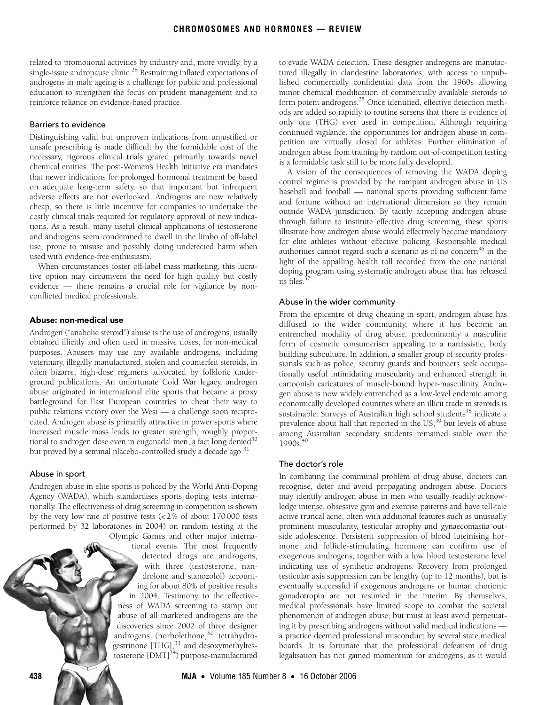related to promotional activities by industry and, more vividly, by a single-issue andropause clinic.<sup>28</sup> Restraining inflated expectations of androgens in male ageing is a challenge for public and professional education to strengthen the focus on prudent management and to reinforce reliance on evidence-based practice.

### Barriers to evidence

Distinguishing valid but unproven indications from unjustified or unsafe prescribing is made difficult by the formidable cost of the necessary, rigorous clinical trials geared primarily towards novel chemical entities. The post-Women's Health Initiative era mandates that newer indications for prolonged hormonal treatment be based on adequate long-term safety, so that important but infrequent adverse effects are not overlooked. Androgens are now relatively cheap, so there is little incentive for companies to undertake the costly clinical trials required for regulatory approval of new indications. As a result, many useful clinical applications of testosterone and androgens seem condemned to dwell in the limbo of off-label use, prone to misuse and possibly doing undetected harm when used with evidence-free enthusiasm.

When circumstances foster off-label mass marketing, this lucrative option may circumvent the need for high quality but costly evidence — there remains a crucial role for vigilance by nonconflicted medical professionals.

#### Abuse: non-medical use

Androgen ("anabolic steroid") abuse is the use of androgens, usually obtained illicitly and often used in massive doses, for non-medical purposes. Abusers may use any available androgens, including veterinary, illegally manufactured, stolen and counterfeit steroids, in often bizarre, high-dose regimens advocated by folkloric underground publications. An unfortunate Cold War legacy, androgen abuse originated in international elite sports that became a proxy battleground for East European countries to cheat their way to public relations victory over the West — a challenge soon reciprocated. Androgen abuse is primarily attractive in power sports where increased muscle mass leads to greater strength, roughly proportional to androgen dose even in eugonadal men, a fact long denied $30$ but proved by a seminal placebo-controlled study a decade ago. $31$ 

#### Abuse in sport

Androgen abuse in elite sports is policed by the World Anti-Doping Agency (WADA), which standardises sports doping tests internationally. The effectiveness of drug screening in competition is shown by the very low rate of positive tests (<2% of about 170 000 tests performed by 32 laboratories in 2004) on random testing at the Olympic Games and other major interna-

tional events. The most frequently detected drugs are androgens, with three (testosterone, nandrolone and stanozolol) accounting for about 80% of positive results in 2004. Testimony to the effectiveness of WADA screening to stamp out abuse of all marketed androgens are the discoveries since 2002 of three designer androgens (norbolethone,<sup>32</sup> tetrahydrogestrinone [THG],<sup>33</sup> and desoxymethyltestosterone  $[{\rm DMT}]^{34}$ ) purpose-manufactured

to evade WADA detection. These designer androgens are manufactured illegally in clandestine laboratories, with access to unpublished commercially confidential data from the 1960s allowing minor chemical modification of commercially available steroids to form potent androgens.<sup>35</sup> Once identified, effective detection methods are added so rapidly to routine screens that there is evidence of only one (THG) ever used in competition. Although requiring continued vigilance, the opportunities for androgen abuse in competition are virtually closed for athletes. Further elimination of androgen abuse from training by random out-of-competition testing is a formidable task still to be more fully developed.

A vision of the consequences of removing the WADA doping control regime is provided by the rampant androgen abuse in US baseball and football — national sports providing sufficient fame and fortune without an international dimension so they remain outside WADA jurisdiction. By tacitly accepting androgen abuse through failure to institute effective drug screening, these sports illustrate how androgen abuse would effectively become mandatory for elite athletes without effective policing. Responsible medical authorities cannot regard such a scenario as of no concern<sup>36</sup> in the light of the appalling health toll recorded from the one national doping program using systematic androgen abuse that has released its files $3$ 

#### Abuse in the wider community

From the epicentre of drug cheating in sport, androgen abuse has diffused to the wider community, where it has become an entrenched modality of drug abuse, predominantly a masculine form of cosmetic consumerism appealing to a narcissistic, body building subculture. In addition, a smaller group of security professionals such as police, security guards and bouncers seek occupationally useful intimidating muscularity and enhanced strength in cartoonish caricatures of muscle-bound hyper-masculinity. Androgen abuse is now widely entrenched as a low-level endemic among economically developed countries where an illicit trade in steroids is sustainable. Surveys of Australian high school students<sup>38</sup> indicate a prevalence about half that reported in the US,<sup>[39](#page-3-38)</sup> but levels of abuse among Australian secondary students remained stable over the  $1990s$ 

#### The doctor's role

In combating the communal problem of drug abuse, doctors can recognise, deter and avoid propagating androgen abuse. Doctors may identify androgen abuse in men who usually readily acknowledge intense, obsessive gym and exercise patterns and have tell-tale active truncal acne, often with additional features such as unusually prominent muscularity, testicular atrophy and gynaecomastia outside adolescence. Persistent suppression of blood luteinising hormone and follicle-stimulating hormone can confirm use of exogenous androgens, together with a low blood testosterone level indicating use of synthetic androgens. Recovery from prolonged testicular axis suppression can be lengthy (up to 12 months), but is eventually successful if exogenous androgens or human chorionic gonadotropin are not resumed in the interim. By themselves, medical professionals have limited scope to combat the societal phenomenon of androgen abuse, but must at least avoid perpetuating it by prescribing androgens without valid medical indications a practice deemed professional misconduct by several state medical boards. It is fortunate that the professional defeatism of drug legalisation has not gained momentum for androgens, as it would